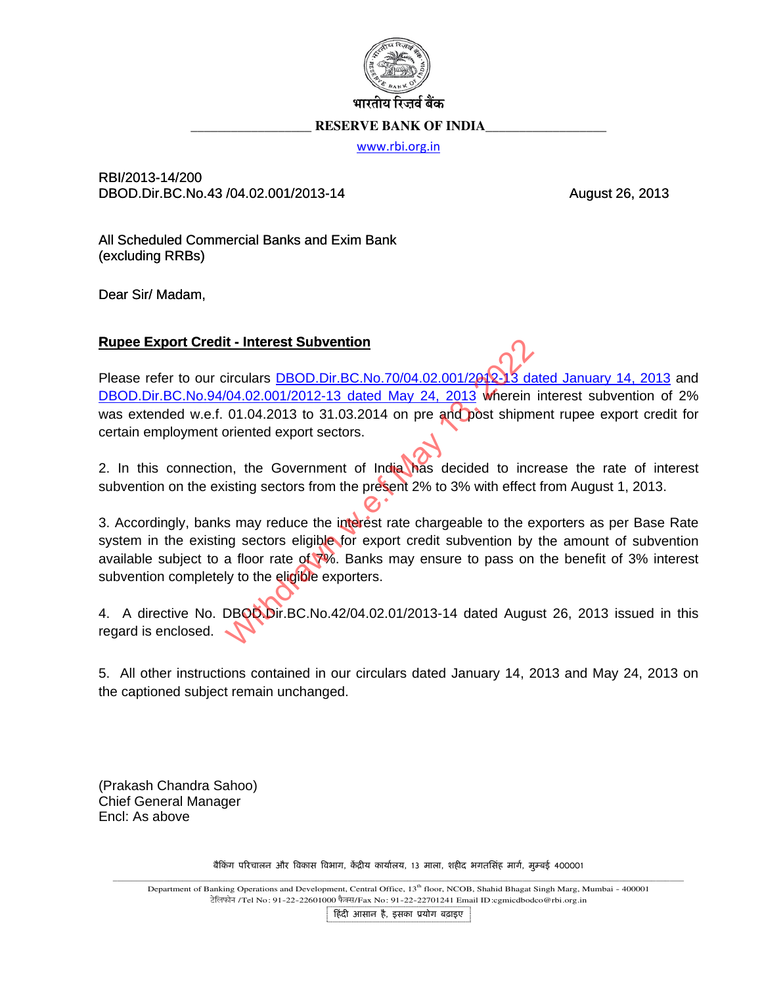

## **RESERVE BANK OF INDIA**

www.rbi.org.in

RBI/2013-14/200 DBOD.Dir.BC.No.43 /04.02.001/2013-14

August 26, 2013

All Scheduled Commercial Banks and Exim Bank (excluding RRBs)

Dear Sir/ Madam,

## **Rupee Export Credit - Interest Subvention**

Please refer to our circulars DBOD.Dir.BC.No.70/04.02.001/2012-13 dated January 14, 2013 and DBOD.Dir.BC.No.94/04.02.001/2012-13 dated May 24, 2013 wherein interest subvention of 2% was extended w.e.f. 01.04.2013 to 31.03.2014 on pre and post shipment rupee export credit for certain employment oriented export sectors.

2. In this connection, the Government of India has decided to increase the rate of interest subvention on the existing sectors from the present 2% to 3% with effect from August 1, 2013.

3. Accordingly, banks may reduce the interest rate chargeable to the exporters as per Base Rate system in the existing sectors eligible for export credit subvention by the amount of subvention available subject to a floor rate of 7%. Banks may ensure to pass on the benefit of 3% interest subvention completely to the eligible exporters.

4. A directive No. DBOO Dir.BC.No.42/04.02.01/2013-14 dated August 26, 2013 issued in this regard is enclosed.

5. All other instructions contained in our circulars dated January 14, 2013 and May 24, 2013 on the captioned subject remain unchanged.

(Prakash Chandra Sahoo) **Chief General Manager** Encl: As above

बैकिंग परिचालन और विकास विभाग, केंद्रीय कार्यालय, 13 माला, शहीद भगतसिंह मार्ग, मुम्बई 400001

Department of Banking Operations and Development, Central Office, 13th floor, NCOB, Shahid Bhagat Singh Marg, Mumbai - 400001 टेलिफोन /Tel No: 91-22-22601000 फैक्स/Fax No: 91-22-22701241 Email ID:cgmicdbodco@rbi.org.in

हिंदी आसान है, इसका प्रयोग बढाइए